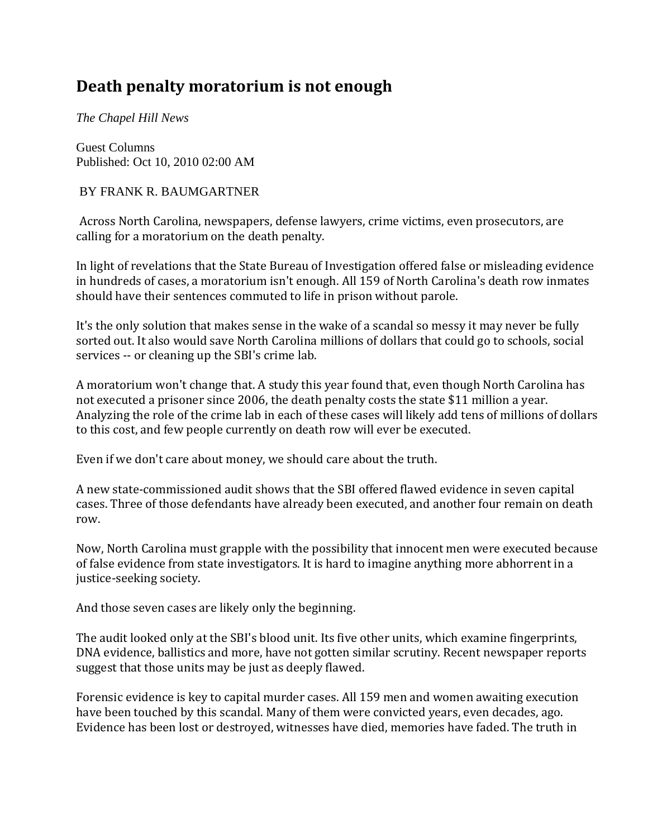## **Death penalty moratorium is not enough**

*The Chapel Hill News*

Guest Columns Published: Oct 10, 2010 02:00 AM

## BY FRANK R. BAUMGARTNER

Across North Carolina, newspapers, defense lawyers, crime victims, even prosecutors, are calling for a moratorium on the death penalty.

In light of revelations that the State Bureau of Investigation offered false or misleading evidence in hundreds of cases, a moratorium isn't enough. All 159 of North Carolina's death row inmates should have their sentences commuted to life in prison without parole.

It's the only solution that makes sense in the wake of a scandal so messy it may never be fully sorted out. It also would save North Carolina millions of dollars that could go to schools, social services -- or cleaning up the SBI's crime lab.

A moratorium won't change that. A study this year found that, even though North Carolina has not executed a prisoner since 2006, the death penalty costs the state \$11 million a year. Analyzing the role of the crime lab in each of these cases will likely add tens of millions of dollars to this cost, and few people currently on death row will ever be executed.

Even if we don't care about money, we should care about the truth.

A new state-commissioned audit shows that the SBI offered flawed evidence in seven capital cases. Three of those defendants have already been executed, and another four remain on death row.

Now, North Carolina must grapple with the possibility that innocent men were executed because of false evidence from state investigators. It is hard to imagine anything more abhorrent in a justice-seeking society.

And those seven cases are likely only the beginning.

The audit looked only at the SBI's blood unit. Its five other units, which examine fingerprints, DNA evidence, ballistics and more, have not gotten similar scrutiny. Recent newspaper reports suggest that those units may be just as deeply flawed.

Forensic evidence is key to capital murder cases. All 159 men and women awaiting execution have been touched by this scandal. Many of them were convicted years, even decades, ago. Evidence has been lost or destroyed, witnesses have died, memories have faded. The truth in